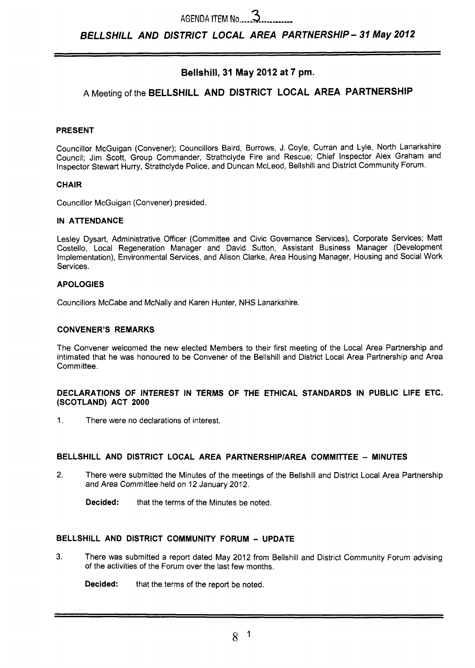*BELLSHILL AND DISTRICT LOCAL AREA PARTNERSHIP- 37 May* **2072** 

# **Bellshill, 31 May 2012 at 7 pm.**

# **A** Meeting of the **BELLSHILL AND DISTRICT LOCAL AREA PARTNERSHIP**

#### **PRESENT**

Councillor McGuigan (Convener); Councillors Baird, Burrows, J. Coyle, Curran and Lyle, North Lanarkshire Council; Jim Scott, Group Commander, Strathclyde Fire and Rescue; Chief Inspector Alex Graham and Inspector Stewart Hurry, Strathclyde Police, and Duncan McLeod, Bellshill and District Community Forum.

#### **CHAIR**

Councillor McGuigan (Convener) presided.

#### **IN ATTENDANCE**

Lesley Dysart, Administrative Officer (Committee and Civic Governance Services), Corporate Services; Matt Costello, Local Regeneration Manager and David Sutton, Assistant Business Manager (Development Implementation), Environmental Services, and Alison Clarke, Area Housing Manager, Housing and Social Work Services.

#### **APOLOGIES**

Councillors McCabe and McNally and Karen Hunter, NHS Lanarkshire.

#### **CONVENER'S REMARKS**

The Convener welcomed the new elected Members to their first meeting of the Local Area Partnership and intimated that he was honoured to be Convener of the Bellshill and District Local Area Partnership and Area Committee.

#### **DECLARATIONS OF INTEREST IN TERMS OF THE ETHICAL STANDARDS IN PUBLIC LIFE ETC. (SCOTLAND) ACT 2000**

1. There were no declarations of interest.

# **BELLSHILL AND DISTRICT LOCAL AREA PARTNERSHIPIAREA COMMITTEE** - **MINUTES**

2. There were submitted the Minutes of the meetings of the Bellshill and District Local Area Partnership and Area Committee held on 12 January 2012.

**Decided:** that the terms of the Minutes be noted.

# **BELLSHILL AND DISTRICT COMMUNITY FORUM** - **UPDATE**

**3.** There was submitted a report dated May 2012 from Bellshill and District Community Forum advising of the activities of the Forum over the last few months.

**Decided:** that the terms of the report be noted.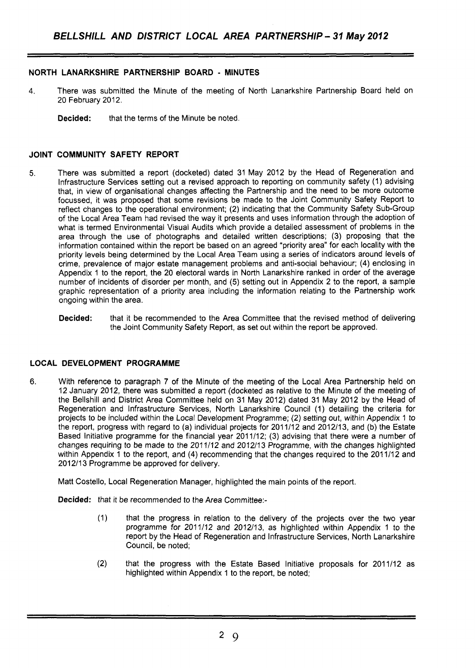# **NORTH LANARKSHIRE PARTNERSHIP BOARD** - **MINUTES**

- **4.** There was submitted the Minute of the meeting of North Lanarkshire Partnership Board held on 20 February 2012.
	- **Decided:** that the terms of the Minute be noted.

### **JOINT COMMUNITY SAFETY REPORT**

- 5. There was submitted a report (docketed) dated 31 May 2012 by the Head of Regeneration and Infrastructure Services setting out a revised approach to reporting on community safety (1) advising that, in view of organisational changes affecting the Partnership and the need to be more outcome focussed, it was proposed that some revisions be made to the Joint Community Safety Report to reflect changes to the operational environment; (2) indicating that the Community Safety Sub-Group of the Local Area Team had revised the way it presents and uses information through the adoption of what is termed Environmental Visual Audits which provide a detailed assessment of problems in the area through the use of photographs and detailed written descriptions; (3) proposing that the information contained within the report be based on an agreed "priority area" for each locality with the priority levels being determined by the Local Area Team using a series of indicators around levels of crime, prevalence of major estate management problems and anti-social behaviour; **(4)** enclosing in Appendix 1 to the report, the 20 electoral wards in North Lanarkshire ranked in order of the average number of incidents of disorder per month, and (5) setting out in Appendix 2 to the report, a sample graphic representation of a priority area including the information relating to the Partnership work ongoing within the area.
	- **Decided:** that it be recommended to the Area Committee that the revised method of delivering the Joint Community Safety Report, as set out within the report be approved.

#### **LOCAL DEVELOPMENT PROGRAMME**

**6.** With reference to paragraph 7 of the Minute of the meeting of the Local Area Partnership held on 12 January 2012, there was submitted a report (docketed as relative to the Minute of the meeting of the Bellshill and District Area Committee held on 31 May 2012) dated 31 May 2012 by the Head of Regeneration and Infrastructure Services, North Lanarkshire Council (1) detailing the criteria for projects to be included within the Local Development Programme; (2) setting out, within Appendix 1 to the report, progress with regard to (a) individual projects for 2011112 and 2012113, and **(b)** the Estate Based Initiative programme for the financial year 2011112; (3) advising that there were a number of changes requiring to be made to the 201 1/12 and 2012/13 Programme, with the changes highlighted within Appendix 1 to the report, and (4) recommending that the changes required to the 2011/12 and 2012/13 Programme be approved for delivery.

Matt Costello, Local Regeneration Manager, highlighted the main points of the report.

**Decided:** that it be recommended to the Area Committee:-

- (1) that the progress in relation to the delivery of the projects over the two year programme for 2011/12 and 2012/13, as highlighted within Appendix 1 to the report by the Head of Regeneration and Infrastructure Services, North Lanarkshire Council, be noted;
- (2) that the progress with the Estate Based Initiative proposals for 2011/12 as highlighted within Appendix 1 to the report, be noted;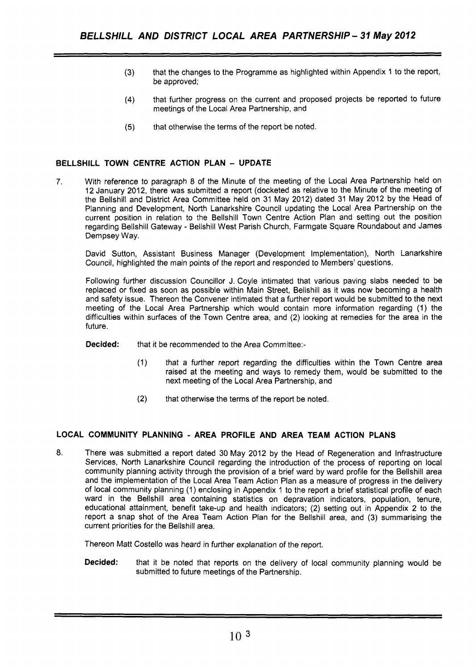- (3) that the changes to the Programme as highlighted within Appendix 1 to the report, be approved;
- **(4)** that further progress on the current and proposed projects be reported to future meetings of the Local Area Partnership, and
- **(5)** that otherwise the terms of the report be noted.

# **BELLSHILL TOWN CENTRE ACTION PLAN** - **UPDATE**

7. With reference to paragraph 8 of the Minute of the meeting of the Local Area Partnership held on 12 January 2012, there was submitted a report (docketed as relative to the Minute of the meeting of the Bellshill and District Area Committee held on 31 May 2012) dated 31 May 2012 by the Head of Planning and Development, North Lanarkshire Council updating the Local Area Partnership on the current position in relation to the Bellshill Town Centre Action Plan and setting out the position regarding Bellshill Gateway - Bellshill West Parish Church, Farmgate Square Roundabout and James Dempsey Way.

David Sutton, Assistant Business Manager (Development Implementation), North Lanarkshire Council, highlighted the main points of the report and responded to Members' questions.

Following further discussion Councillor J. Coyle intimated that various paving slabs needed to be replaced or fixed as soon as possible within Main Street, Bellshill as it was now becoming a health and safety issue. Thereon the Convener intimated that a further report would be submitted to the next meeting of the Local Area Partnership which would contain more information regarding (1) the difficulties within surfaces of the Town Centre area, and (2) looking at remedies for the area in the future.

**Decided:** that it be recommended to the Area Committee:-

- (1) that a further report regarding the difficulties within the Town Centre area raised at the meeting and ways to remedy them, would be submitted to the next meeting of the Local Area Partnership, and
- (2) that otherwise the terms of the report be noted.

# **LOCAL COMMUNITY PLANNING** - **AREA PROFILE AND AREA TEAM ACTION PLANS**

*8.* There was submitted a report dated 30 May 2012 by the Head of Regeneration and Infrastructure Services, North Lanarkshire Council regarding the introduction of the process of reporting on local community planning activity through the provision of a brief ward by ward profile for the Bellshill area and the implementation of the Local Area Team Action Plan as a measure of progress in the delivery of local community planning (1) enclosing in Appendix 1 to the report a brief statistical profile of each ward in the Bellshill area containing statistics on depravation indicators, population, tenure, educational attainment, benefit take-up and health indicators; (2) setting out in Appendix 2 to the report a snap shot of the Area Team Action Plan for the Bellshill area, and (3) summarising the current priorities for the Bellshill area.

Thereon Matt Costello was heard *in* further explanation of the report.

**Decided:** that it be noted that reports on the delivery of local community planning would be submitted to future meetings of the Partnership.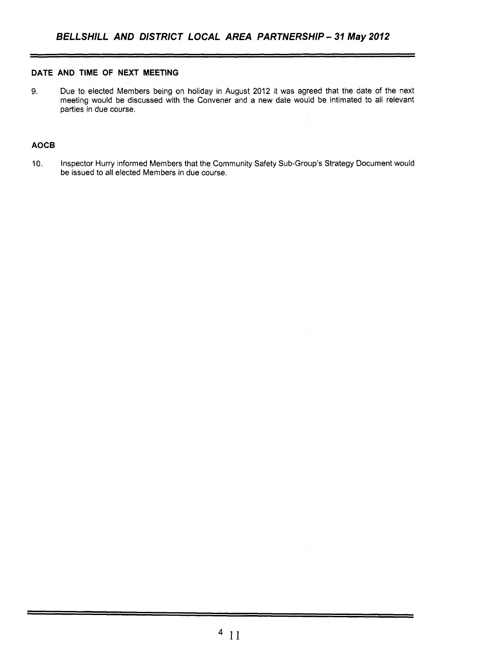## **DATE AND TIME OF NEXT MEETING**

9. Due to elected Members being on holiday in August 2012 it was agreed that the date of the next meeting would be discussed with the Convener and a new date would be intimated to all relevant parties in due course.

 $\bar{\alpha}$ 

### **AOCB**

10. Inspector Hurry informed Members that the Community Safety Sub-Group's Strategy Document would be issued to all elected Members in due course.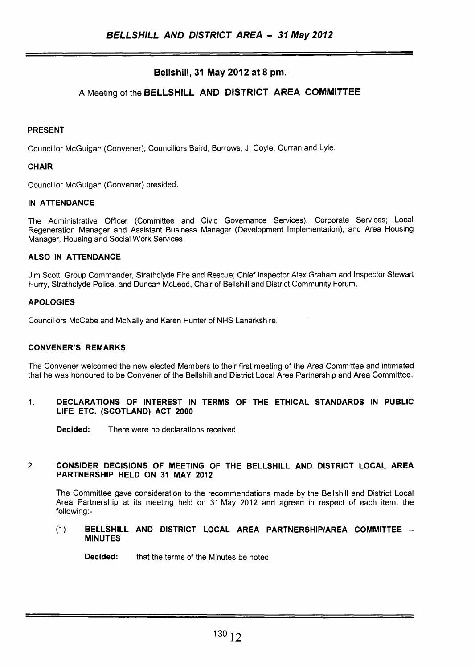# **Bellshill, 31 May 2012 at 8 pm.**

# **A** Meeting of the **BELLSHILL AND DISTRICT AREA COMMITTEE**

# **PRESENT**

Councillor McGuigan (Convener); Councillors Baird, Burrows, J. Coyle, Curran and Lyle.

# **CHAIR**

Councillor McGuigan (Convener) presided.

# **IN ATTENDANCE**

The Administrative Officer (Committee and Civic Governance Services), Corporate Services; Local Regeneration Manager and Assistant Business Manager (Development Implementation), and Area Housing Manager, Housing and Social Work Services.

# **ALSO IN ATTENDANCE**

Jim Scott, Group Commander, Strathclyde Fire and Rescue; Chief Inspector Alex Graham and Inspector Stewart Hurry, Strathclyde Police, and Duncan McLeod, Chair of Bellshill and District Community Forum.

# **APOLOGIES**

Councillors McCabe and McNally and Karen Hunter of NHS Lanarkshire.

# **CONVENER'S REMARKS**

The Convener welcomed the new elected Members to their first meeting of the Area Committee and intimated that he was honoured to be Convener of the Bellshill and District Local Area Partnership and Area Committee.

# 1. **DECLARATIONS OF INTEREST IN TERMS OF THE ETHICAL STANDARDS IN PUBLIC LIFE ETC. (SCOTLAND) ACT 2000**

**Decided:** There were no declarations received.

#### 2. **CONSIDER DECISIONS OF MEETING OF THE BELLSHILL AND DISTRICT LOCAL AREA PARTNERSHIP HELD ON 31 MAY 2012**

The Committee gave consideration to the recommendations made by the Bellshill and District Local Area Partnership at its meeting held on 31 May 2012 and agreed in respect of each item, the following:-

#### (1) **BELLSHILL AND DISTRICT LOCAL AREA PARTNERSHIPlAREA COMMITTEE** - **MINUTES**

**Decided:** that the terms of the Minutes be noted.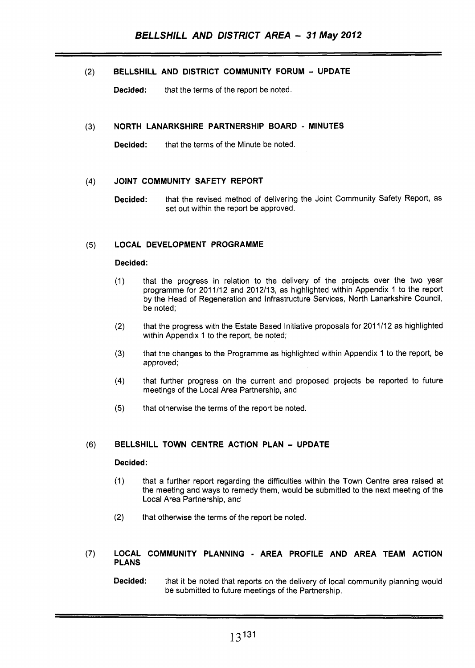(2) **BELLSHILL AND DISTRICT COMMUNITY FORUM** - **UPDATE** 

**Decided:** that the terms of the report be noted.

#### **NORTH LANARKSHIRE PARTNERSHIP BOARD** - **MINUTES**   $(3)$

**Decided:** that the terms of the Minute be noted.

#### **JOINT COMMUNITY SAFETY REPORT**   $(4)$

**Decided:** that the revised method of delivering the Joint Community Safety Report, as set out within the report be approved.

#### **LOCAL DEVELOPMENT PROGRAMME**   $(5)$

#### **Decided:**

- $(1)$ that the progress in relation to the delivery of the projects over the two year programme for 201 1/12 and 2012/13, as highlighted within Appendix 1 to the report by the Head of Regeneration and Infrastructure Services, North Lanarkshire Council, be noted:
- that the progress with the Estate Based Initiative proposals for 2011/12 as highlighted  $(2)$ within Appendix 1 to the report, be noted;
- that the changes to the Programme as highlighted within Appendix 1 to the report, be  $(3)$ approved;
- that further progress on the current and proposed projects be reported to future  $(4)$ meetings of the Local Area Partnership, and
- $(5)$ that otherwise the terms of the report be noted.

# (6) **BELLSHILL TOWN CENTRE ACTION PLAN** - **UPDATE**

#### **Decided:**

- (1) that a further report regarding the difficulties within the Town Centre area raised at the meeting and ways to remedy them, would be submitted to the next meeting of the Local Area Partnership, and
- **(2)** that otherwise the terms of the report be noted.

#### **(7) LOCAL COMMUNITY PLANNING** - **AREA PROFILE AND AREA TEAM ACTION PLANS**

**Decided:** that it be noted that reports on the delivery of local community planning would be submitted to future meetings of the Partnership.